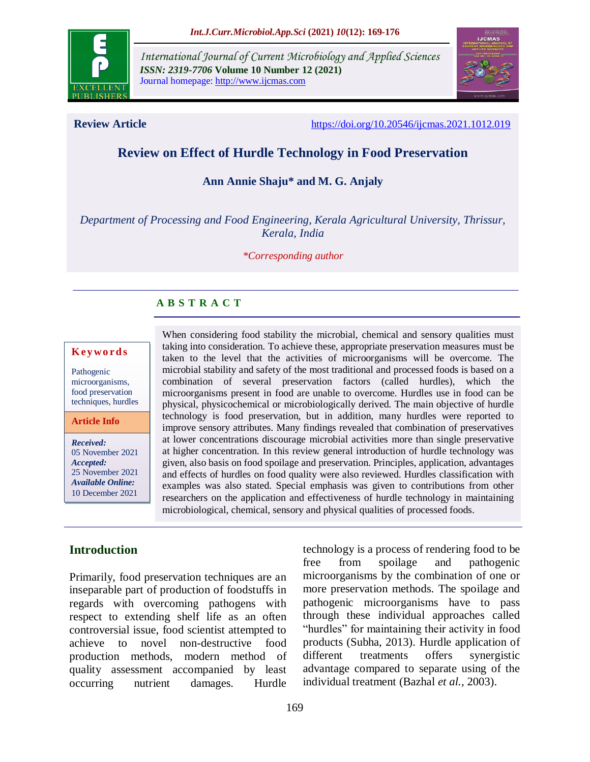

*International Journal of Current Microbiology and Applied Sciences ISSN: 2319-7706* **Volume 10 Number 12 (2021)**  Journal homepage: http://www.ijcmas.com



**Review Article** <https://doi.org/10.20546/ijcmas.2021.1012.019>

# **Review on Effect of Hurdle Technology in Food Preservation**

**Ann Annie Shaju\* and M. G. Anjaly**

*Department of Processing and Food Engineering, Kerala Agricultural University, Thrissur, Kerala, India*

#### *\*Corresponding author*

#### **A B S T R A C T**

#### **K ey w o rd s**

Pathogenic microorganisms, food preservation techniques, hurdles

#### **Article Info**

*Received:*  05 November 2021 *Accepted:*  25 November 2021 *Available Online:* 10 December 2021

When considering food stability the microbial, chemical and sensory qualities must taking into consideration. To achieve these, appropriate preservation measures must be taken to the level that the activities of microorganisms will be overcome. The microbial stability and safety of the most traditional and processed foods is based on a combination of several preservation factors (called hurdles), which the microorganisms present in food are unable to overcome. Hurdles use in food can be physical, physicochemical or microbiologically derived. The main objective of hurdle technology is food preservation, but in addition, many hurdles were reported to improve sensory attributes. Many findings revealed that combination of preservatives at lower concentrations discourage microbial activities more than single preservative at higher concentration. In this review general introduction of hurdle technology was given, also basis on food spoilage and preservation. Principles, application, advantages and effects of hurdles on food quality were also reviewed. Hurdles classification with examples was also stated. Special emphasis was given to contributions from other researchers on the application and effectiveness of hurdle technology in maintaining microbiological, chemical, sensory and physical qualities of processed foods.

#### **Introduction**

Primarily, food preservation techniques are an inseparable part of production of foodstuffs in regards with overcoming pathogens with respect to extending shelf life as an often controversial issue, food scientist attempted to achieve to novel non-destructive food production methods, modern method of quality assessment accompanied by least occurring nutrient damages. Hurdle

technology is a process of rendering food to be free from spoilage and pathogenic microorganisms by the combination of one or more preservation methods. The spoilage and pathogenic microorganisms have to pass through these individual approaches called "hurdles" for maintaining their activity in food products (Subha, 2013). Hurdle application of different treatments offers synergistic advantage compared to separate using of the individual treatment (Bazhal *et al.,* 2003).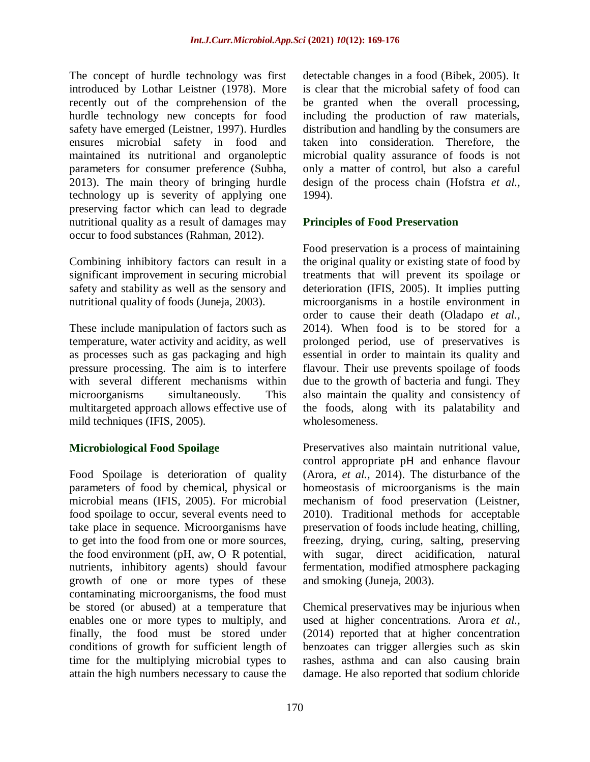The concept of hurdle technology was first introduced by Lothar Leistner (1978). More recently out of the comprehension of the hurdle technology new concepts for food safety have emerged (Leistner, 1997). Hurdles ensures microbial safety in food and maintained its nutritional and organoleptic parameters for consumer preference (Subha, 2013). The main theory of bringing hurdle technology up is severity of applying one preserving factor which can lead to degrade nutritional quality as a result of damages may occur to food substances (Rahman, 2012).

Combining inhibitory factors can result in a significant improvement in securing microbial safety and stability as well as the sensory and nutritional quality of foods (Juneja, 2003).

These include manipulation of factors such as temperature, water activity and acidity, as well as processes such as gas packaging and high pressure processing. The aim is to interfere with several different mechanisms within microorganisms simultaneously. This multitargeted approach allows effective use of mild techniques (IFIS, 2005).

#### **Microbiological Food Spoilage**

Food Spoilage is deterioration of quality parameters of food by chemical, physical or microbial means (IFIS, 2005). For microbial food spoilage to occur, several events need to take place in sequence. Microorganisms have to get into the food from one or more sources, the food environment (pH, aw, O–R potential, nutrients, inhibitory agents) should favour growth of one or more types of these contaminating microorganisms, the food must be stored (or abused) at a temperature that enables one or more types to multiply, and finally, the food must be stored under conditions of growth for sufficient length of time for the multiplying microbial types to attain the high numbers necessary to cause the

detectable changes in a food (Bibek, 2005). It is clear that the microbial safety of food can be granted when the overall processing, including the production of raw materials, distribution and handling by the consumers are taken into consideration. Therefore, the microbial quality assurance of foods is not only a matter of control, but also a careful design of the process chain (Hofstra *et al.,* 1994).

## **Principles of Food Preservation**

Food preservation is a process of maintaining the original quality or existing state of food by treatments that will prevent its spoilage or deterioration (IFIS, 2005). It implies putting microorganisms in a hostile environment in order to cause their death (Oladapo *et al.,* 2014). When food is to be stored for a prolonged period, use of preservatives is essential in order to maintain its quality and flavour. Their use prevents spoilage of foods due to the growth of bacteria and fungi. They also maintain the quality and consistency of the foods, along with its palatability and wholesomeness.

Preservatives also maintain nutritional value, control appropriate pH and enhance flavour (Arora, *et al.,* 2014). The disturbance of the homeostasis of microorganisms is the main mechanism of food preservation (Leistner, 2010). Traditional methods for acceptable preservation of foods include heating, chilling, freezing, drying, curing, salting, preserving with sugar, direct acidification, natural fermentation, modified atmosphere packaging and smoking (Juneja, 2003).

Chemical preservatives may be injurious when used at higher concentrations. Arora *et al.,* (2014) reported that at higher concentration benzoates can trigger allergies such as skin rashes, asthma and can also causing brain damage. He also reported that sodium chloride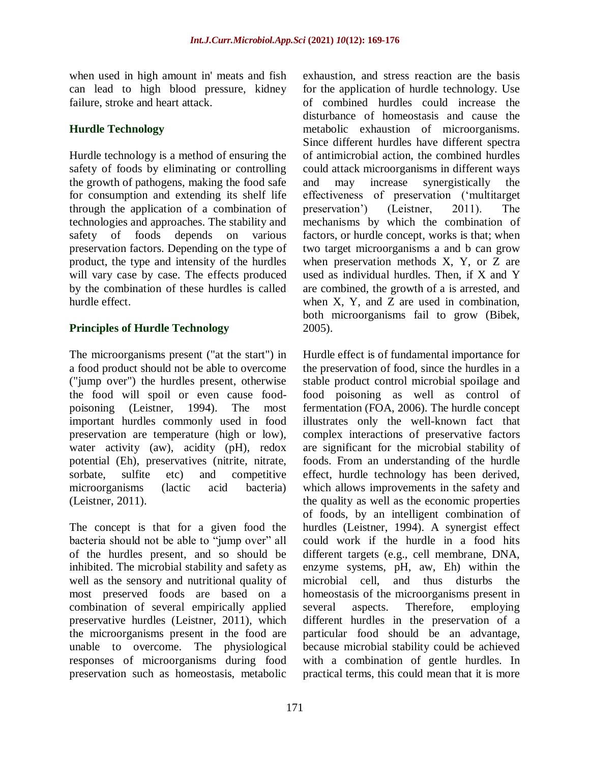when used in high amount in' meats and fish can lead to high blood pressure, kidney failure, stroke and heart attack.

## **Hurdle Technology**

Hurdle technology is a method of ensuring the safety of foods by eliminating or controlling the growth of pathogens, making the food safe for consumption and extending its shelf life through the application of a combination of technologies and approaches. The stability and safety of foods depends on various preservation factors. Depending on the type of product, the type and intensity of the hurdles will vary case by case. The effects produced by the combination of these hurdles is called hurdle effect.

## **Principles of Hurdle Technology**

The microorganisms present ("at the start") in a food product should not be able to overcome ("jump over") the hurdles present, otherwise the food will spoil or even cause foodpoisoning (Leistner, 1994). The most important hurdles commonly used in food preservation are temperature (high or low), water activity (aw), acidity (pH), redox potential (Eh), preservatives (nitrite, nitrate, sorbate, sulfite etc) and competitive microorganisms (lactic acid bacteria) (Leistner, 2011).

The concept is that for a given food the bacteria should not be able to "jump over" all of the hurdles present, and so should be inhibited. The microbial stability and safety as well as the sensory and nutritional quality of most preserved foods are based on a combination of several empirically applied preservative hurdles (Leistner, 2011), which the microorganisms present in the food are unable to overcome. The physiological responses of microorganisms during food preservation such as homeostasis, metabolic

exhaustion, and stress reaction are the basis for the application of hurdle technology. Use of combined hurdles could increase the disturbance of homeostasis and cause the metabolic exhaustion of microorganisms. Since different hurdles have different spectra of antimicrobial action, the combined hurdles could attack microorganisms in different ways and may increase synergistically the effectiveness of preservation ("multitarget preservation") (Leistner, 2011). The mechanisms by which the combination of factors, or hurdle concept, works is that; when two target microorganisms a and b can grow when preservation methods X, Y, or Z are used as individual hurdles. Then, if X and Y are combined, the growth of a is arrested, and when X, Y, and Z are used in combination, both microorganisms fail to grow (Bibek, 2005).

Hurdle effect is of fundamental importance for the preservation of food, since the hurdles in a stable product control microbial spoilage and food poisoning as well as control of fermentation (FOA, 2006). The hurdle concept illustrates only the well-known fact that complex interactions of preservative factors are significant for the microbial stability of foods. From an understanding of the hurdle effect, hurdle technology has been derived, which allows improvements in the safety and the quality as well as the economic properties of foods, by an intelligent combination of hurdles (Leistner, 1994). A synergist effect could work if the hurdle in a food hits different targets (e.g., cell membrane, DNA, enzyme systems, pH, aw, Eh) within the microbial cell, and thus disturbs the homeostasis of the microorganisms present in several aspects. Therefore, employing different hurdles in the preservation of a particular food should be an advantage, because microbial stability could be achieved with a combination of gentle hurdles. In practical terms, this could mean that it is more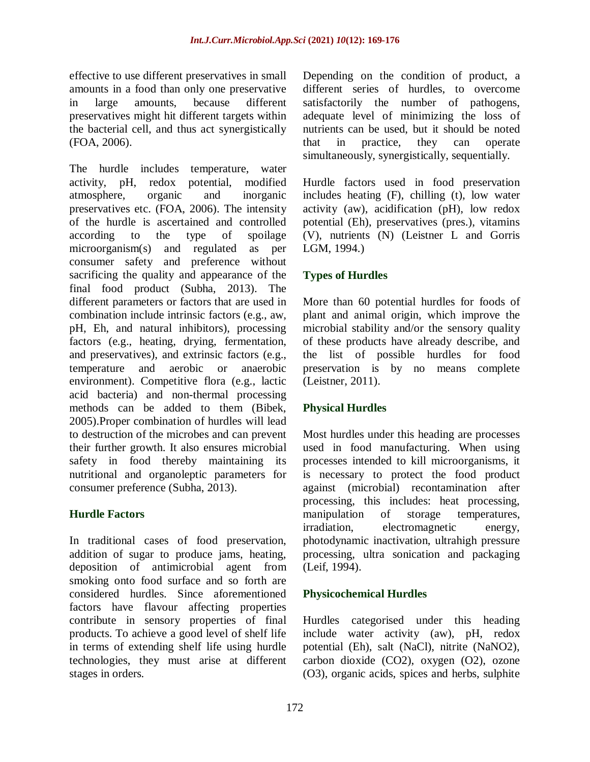effective to use different preservatives in small amounts in a food than only one preservative in large amounts, because different preservatives might hit different targets within the bacterial cell, and thus act synergistically (FOA, 2006).

The hurdle includes temperature, water activity, pH, redox potential, modified atmosphere, organic and inorganic preservatives etc. (FOA, 2006). The intensity of the hurdle is ascertained and controlled according to the type of spoilage microorganism(s) and regulated as per consumer safety and preference without sacrificing the quality and appearance of the final food product (Subha, 2013). The different parameters or factors that are used in combination include intrinsic factors (e.g., aw, pH, Eh, and natural inhibitors), processing factors (e.g., heating, drying, fermentation, and preservatives), and extrinsic factors (e.g., temperature and aerobic or anaerobic environment). Competitive flora (e.g., lactic acid bacteria) and non-thermal processing methods can be added to them (Bibek, 2005).Proper combination of hurdles will lead to destruction of the microbes and can prevent their further growth. It also ensures microbial safety in food thereby maintaining its nutritional and organoleptic parameters for consumer preference (Subha, 2013).

#### **Hurdle Factors**

In traditional cases of food preservation, addition of sugar to produce jams, heating, deposition of antimicrobial agent from smoking onto food surface and so forth are considered hurdles. Since aforementioned factors have flavour affecting properties contribute in sensory properties of final products. To achieve a good level of shelf life in terms of extending shelf life using hurdle technologies, they must arise at different stages in orders.

Depending on the condition of product, a different series of hurdles, to overcome satisfactorily the number of pathogens, adequate level of minimizing the loss of nutrients can be used, but it should be noted that in practice, they can operate simultaneously, synergistically, sequentially.

Hurdle factors used in food preservation includes heating (F), chilling (t), low water activity (aw), acidification (pH), low redox potential (Eh), preservatives (pres.), vitamins (V), nutrients (N) (Leistner L and Gorris LGM, 1994.)

## **Types of Hurdles**

More than 60 potential hurdles for foods of plant and animal origin, which improve the microbial stability and/or the sensory quality of these products have already describe, and the list of possible hurdles for food preservation is by no means complete (Leistner, 2011).

#### **Physical Hurdles**

Most hurdles under this heading are processes used in food manufacturing. When using processes intended to kill microorganisms, it is necessary to protect the food product against (microbial) recontamination after processing, this includes: heat processing, manipulation of storage temperatures, irradiation, electromagnetic energy, photodynamic inactivation, ultrahigh pressure processing, ultra sonication and packaging (Leif, 1994).

#### **Physicochemical Hurdles**

Hurdles categorised under this heading include water activity (aw), pH, redox potential (Eh), salt (NaCl), nitrite (NaNO2), carbon dioxide (CO2), oxygen (O2), ozone (O3), organic acids, spices and herbs, sulphite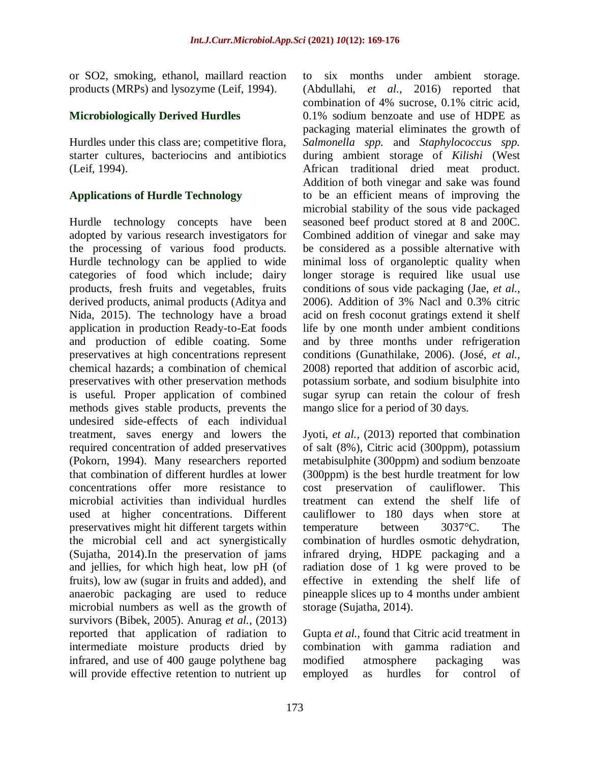or SO2, smoking, ethanol, maillard reaction products (MRPs) and lysozyme (Leif, 1994).

#### **Microbiologically Derived Hurdles**

Hurdles under this class are; competitive flora, starter cultures, bacteriocins and antibiotics (Leif, 1994).

## **Applications of Hurdle Technology**

Hurdle technology concepts have been adopted by various research investigators for the processing of various food products. Hurdle technology can be applied to wide categories of food which include; dairy products, fresh fruits and vegetables, fruits derived products, animal products (Aditya and Nida, 2015). The technology have a broad application in production Ready-to-Eat foods and production of edible coating. Some preservatives at high concentrations represent chemical hazards; a combination of chemical preservatives with other preservation methods is useful. Proper application of combined methods gives stable products, prevents the undesired side-effects of each individual treatment, saves energy and lowers the required concentration of added preservatives (Pokorn, 1994). Many researchers reported that combination of different hurdles at lower concentrations offer more resistance to microbial activities than individual hurdles used at higher concentrations. Different preservatives might hit different targets within the microbial cell and act synergistically (Sujatha, 2014).In the preservation of jams and jellies, for which high heat, low pH (of fruits), low aw (sugar in fruits and added), and anaerobic packaging are used to reduce microbial numbers as well as the growth of survivors (Bibek, 2005). Anurag *et al.,* (2013) reported that application of radiation to intermediate moisture products dried by infrared, and use of 400 gauge polythene bag will provide effective retention to nutrient up

to six months under ambient storage. (Abdullahi, *et al.,* 2016) reported that combination of 4% sucrose, 0.1% citric acid, 0.1% sodium benzoate and use of HDPE as packaging material eliminates the growth of *Salmonella spp.* and *Staphylococcus spp.* during ambient storage of *Kilishi* (West African traditional dried meat product. Addition of both vinegar and sake was found to be an efficient means of improving the microbial stability of the sous vide packaged seasoned beef product stored at 8 and 200C. Combined addition of vinegar and sake may be considered as a possible alternative with minimal loss of organoleptic quality when longer storage is required like usual use conditions of sous vide packaging (Jae, *et al.,* 2006). Addition of 3% Nacl and 0.3% citric acid on fresh coconut gratings extend it shelf life by one month under ambient conditions and by three months under refrigeration conditions (Gunathilake, 2006). (José, *et al.,* 2008) reported that addition of ascorbic acid, potassium sorbate, and sodium bisulphite into sugar syrup can retain the colour of fresh mango slice for a period of 30 days.

Jyoti, *et al.,* (2013) reported that combination of salt (8%), Citric acid (300ppm), potassium metabisulphite (300ppm) and sodium benzoate (300ppm) is the best hurdle treatment for low cost preservation of cauliflower. This treatment can extend the shelf life of cauliflower to 180 days when store at temperature between 3037°C. The combination of hurdles osmotic dehydration, infrared drying, HDPE packaging and a radiation dose of 1 kg were proved to be effective in extending the shelf life of pineapple slices up to 4 months under ambient storage (Sujatha, 2014).

Gupta *et al.,* found that Citric acid treatment in combination with gamma radiation and modified atmosphere packaging was employed as hurdles for control of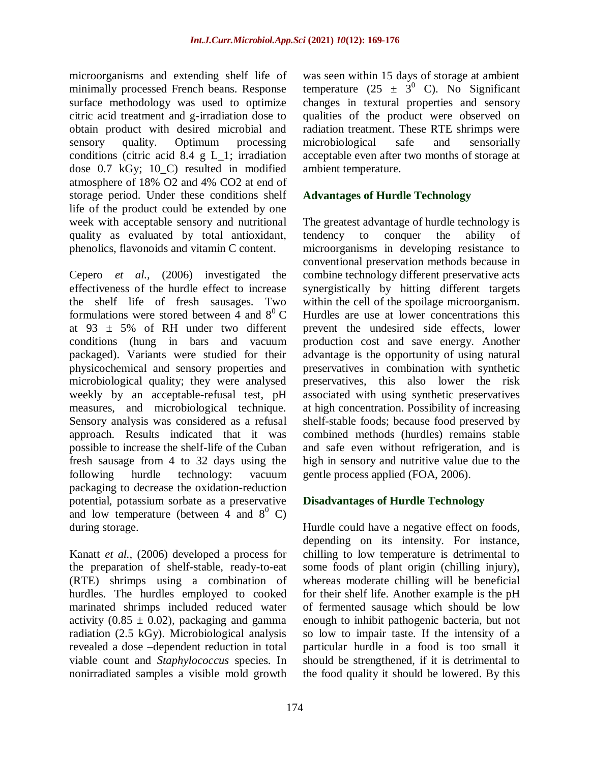microorganisms and extending shelf life of minimally processed French beans. Response surface methodology was used to optimize citric acid treatment and g-irradiation dose to obtain product with desired microbial and sensory quality. Optimum processing conditions (citric acid 8.4 g L\_1; irradiation dose 0.7 kGy; 10\_C) resulted in modified atmosphere of 18% O2 and 4% CO2 at end of storage period. Under these conditions shelf life of the product could be extended by one week with acceptable sensory and nutritional quality as evaluated by total antioxidant, phenolics, flavonoids and vitamin C content.

Cepero *et al.,* (2006) investigated the effectiveness of the hurdle effect to increase the shelf life of fresh sausages. Two formulations were stored between 4 and  $8^{\circ}$  C at 93  $\pm$  5% of RH under two different conditions (hung in bars and vacuum packaged). Variants were studied for their physicochemical and sensory properties and microbiological quality; they were analysed weekly by an acceptable-refusal test, pH measures, and microbiological technique. Sensory analysis was considered as a refusal approach. Results indicated that it was possible to increase the shelf-life of the Cuban fresh sausage from 4 to 32 days using the following hurdle technology: vacuum packaging to decrease the oxidation-reduction potential, potassium sorbate as a preservative and low temperature (between 4 and  $8^0$  C) during storage.

Kanatt *et al.,* (2006) developed a process for the preparation of shelf-stable, ready-to-eat (RTE) shrimps using a combination of hurdles. The hurdles employed to cooked marinated shrimps included reduced water activity (0.85  $\pm$  0.02), packaging and gamma radiation (2.5 kGy). Microbiological analysis revealed a dose –dependent reduction in total viable count and *Staphylococcus* species. In nonirradiated samples a visible mold growth

was seen within 15 days of storage at ambient temperature (25  $\pm$  3<sup>0</sup> C). No Significant changes in textural properties and sensory qualities of the product were observed on radiation treatment. These RTE shrimps were microbiological safe and sensorially acceptable even after two months of storage at ambient temperature.

## **Advantages of Hurdle Technology**

The greatest advantage of hurdle technology is tendency to conquer the ability of microorganisms in developing resistance to conventional preservation methods because in combine technology different preservative acts synergistically by hitting different targets within the cell of the spoilage microorganism. Hurdles are use at lower concentrations this prevent the undesired side effects, lower production cost and save energy. Another advantage is the opportunity of using natural preservatives in combination with synthetic preservatives, this also lower the risk associated with using synthetic preservatives at high concentration. Possibility of increasing shelf-stable foods; because food preserved by combined methods (hurdles) remains stable and safe even without refrigeration, and is high in sensory and nutritive value due to the gentle process applied (FOA, 2006).

#### **Disadvantages of Hurdle Technology**

Hurdle could have a negative effect on foods, depending on its intensity. For instance, chilling to low temperature is detrimental to some foods of plant origin (chilling injury), whereas moderate chilling will be beneficial for their shelf life. Another example is the pH of fermented sausage which should be low enough to inhibit pathogenic bacteria, but not so low to impair taste. If the intensity of a particular hurdle in a food is too small it should be strengthened, if it is detrimental to the food quality it should be lowered. By this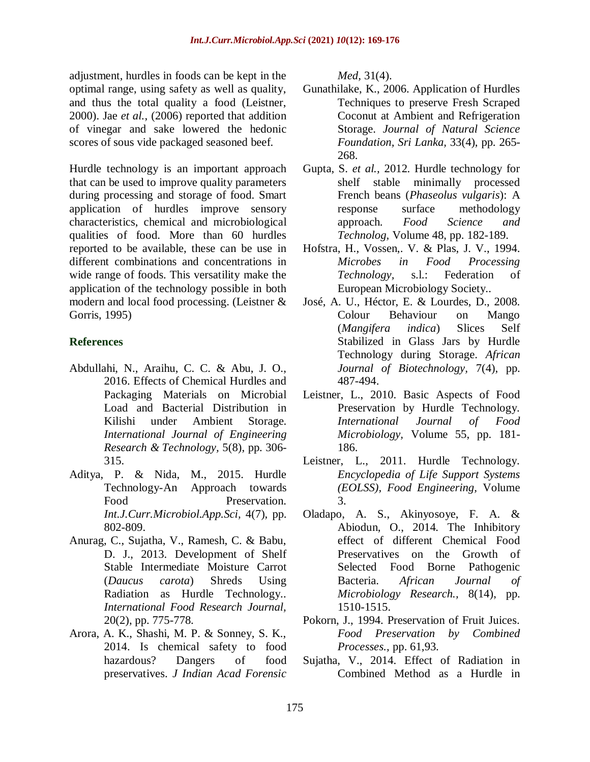adjustment, hurdles in foods can be kept in the optimal range, using safety as well as quality, and thus the total quality a food (Leistner, 2000). Jae *et al.,* (2006) reported that addition of vinegar and sake lowered the hedonic scores of sous vide packaged seasoned beef.

Hurdle technology is an important approach that can be used to improve quality parameters during processing and storage of food. Smart application of hurdles improve sensory characteristics, chemical and microbiological qualities of food. More than 60 hurdles reported to be available, these can be use in different combinations and concentrations in wide range of foods. This versatility make the application of the technology possible in both modern and local food processing. (Leistner & Gorris, 1995)

# **References**

- Abdullahi, N., Araihu, C. C. & Abu, J. O., 2016. Effects of Chemical Hurdles and Packaging Materials on Microbial Load and Bacterial Distribution in Kilishi under Ambient Storage. *International Journal of Engineering Research & Technology,* 5(8), pp. 306- 315.
- Aditya, P. & Nida, M., 2015. Hurdle Technology-An Approach towards Food Preservation. *Int.J.Curr.Microbiol.App.Sci,* 4(7), pp. 802-809.
- Anurag, C., Sujatha, V., Ramesh, C. & Babu, D. J., 2013. Development of Shelf Stable Intermediate Moisture Carrot (*Daucus carota*) Shreds Using Radiation as Hurdle Technology.. *International Food Research Journal,*  20(2), pp. 775-778.
- Arora, A. K., Shashi, M. P. & Sonney, S. K., 2014. Is chemical safety to food hazardous? Dangers of food preservatives. *J Indian Acad Forensic*

*Med,* 31(4).

- Gunathilake, K., 2006. Application of Hurdles Techniques to preserve Fresh Scraped Coconut at Ambient and Refrigeration Storage. *Journal of Natural Science Foundation, Sri Lanka,* 33(4), pp. 265- 268.
- Gupta, S. *et al.,* 2012. Hurdle technology for shelf stable minimally processed French beans (*Phaseolus vulgaris*): A response surface methodology approach. *Food Science and Technolog,* Volume 48, pp. 182-189.
- Hofstra, H., Vossen,. V. & Plas, J. V., 1994. *Microbes in Food Processing Technology,* s.l.: Federation of European Microbiology Society..
- José, A. U., Héctor, E. & Lourdes, D., 2008. Colour Behaviour on Mango (*Mangifera indica*) Slices Self Stabilized in Glass Jars by Hurdle Technology during Storage. *African Journal of Biotechnology,* 7(4), pp. 487-494.
- Leistner, L., 2010. Basic Aspects of Food Preservation by Hurdle Technology. *International Journal of Food Microbiology,* Volume 55, pp. 181- 186.
- Leistner, L., 2011. Hurdle Technology. *Encyclopedia of Life Support Systems (EOLSS), Food Engineering,* Volume 3.
- Oladapo, A. S., Akinyosoye, F. A. & Abiodun, O., 2014. The Inhibitory effect of different Chemical Food Preservatives on the Growth of Selected Food Borne Pathogenic Bacteria. *African Journal of Microbiology Research.,* 8(14), pp. 1510-1515.
- Pokorn, J., 1994. Preservation of Fruit Juices. *Food Preservation by Combined Processes.,* pp. 61,93.
- Sujatha, V., 2014. Effect of Radiation in Combined Method as a Hurdle in